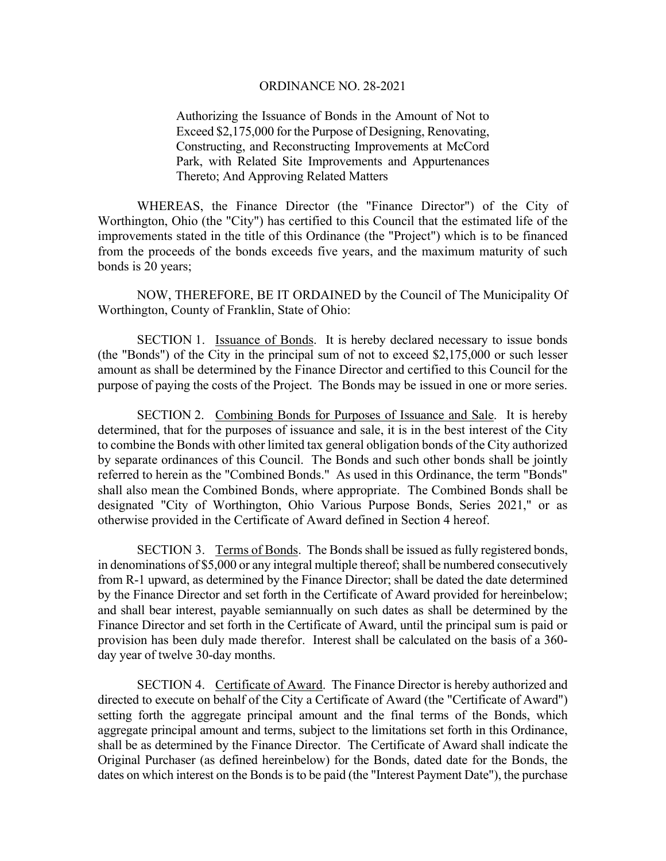Authorizing the Issuance of Bonds in the Amount of Not to Exceed \$2,175,000 for the Purpose of Designing, Renovating, Constructing, and Reconstructing Improvements at McCord Park, with Related Site Improvements and Appurtenances Thereto; And Approving Related Matters

WHEREAS, the Finance Director (the "Finance Director") of the City of Worthington, Ohio (the "City") has certified to this Council that the estimated life of the improvements stated in the title of this Ordinance (the "Project") which is to be financed from the proceeds of the bonds exceeds five years, and the maximum maturity of such bonds is 20 years;

NOW, THEREFORE, BE IT ORDAINED by the Council of The Municipality Of Worthington, County of Franklin, State of Ohio:

 SECTION 1. Issuance of Bonds. It is hereby declared necessary to issue bonds (the "Bonds") of the City in the principal sum of not to exceed \$2,175,000 or such lesser amount as shall be determined by the Finance Director and certified to this Council for the purpose of paying the costs of the Project. The Bonds may be issued in one or more series.

 SECTION 2. Combining Bonds for Purposes of Issuance and Sale. It is hereby determined, that for the purposes of issuance and sale, it is in the best interest of the City to combine the Bonds with other limited tax general obligation bonds of the City authorized by separate ordinances of this Council. The Bonds and such other bonds shall be jointly referred to herein as the "Combined Bonds." As used in this Ordinance, the term "Bonds" shall also mean the Combined Bonds, where appropriate. The Combined Bonds shall be designated "City of Worthington, Ohio Various Purpose Bonds, Series 2021," or as otherwise provided in the Certificate of Award defined in Section 4 hereof.

SECTION 3. Terms of Bonds. The Bonds shall be issued as fully registered bonds, in denominations of \$5,000 or any integral multiple thereof; shall be numbered consecutively from R-1 upward, as determined by the Finance Director; shall be dated the date determined by the Finance Director and set forth in the Certificate of Award provided for hereinbelow; and shall bear interest, payable semiannually on such dates as shall be determined by the Finance Director and set forth in the Certificate of Award, until the principal sum is paid or provision has been duly made therefor. Interest shall be calculated on the basis of a 360 day year of twelve 30-day months.

 SECTION 4. Certificate of Award. The Finance Director is hereby authorized and directed to execute on behalf of the City a Certificate of Award (the "Certificate of Award") setting forth the aggregate principal amount and the final terms of the Bonds, which aggregate principal amount and terms, subject to the limitations set forth in this Ordinance, shall be as determined by the Finance Director. The Certificate of Award shall indicate the Original Purchaser (as defined hereinbelow) for the Bonds, dated date for the Bonds, the dates on which interest on the Bonds is to be paid (the "Interest Payment Date"), the purchase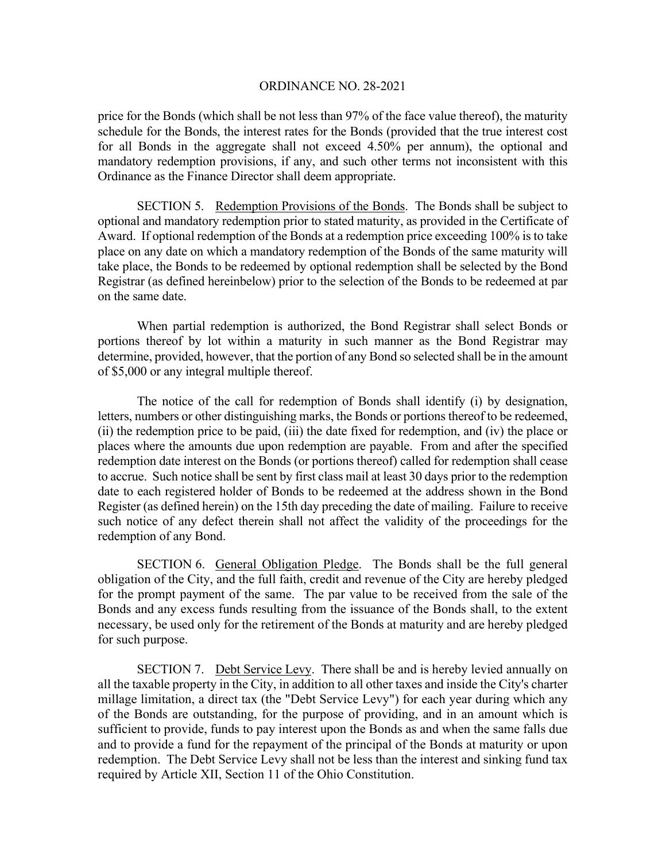price for the Bonds (which shall be not less than 97% of the face value thereof), the maturity schedule for the Bonds, the interest rates for the Bonds (provided that the true interest cost for all Bonds in the aggregate shall not exceed 4.50% per annum), the optional and mandatory redemption provisions, if any, and such other terms not inconsistent with this Ordinance as the Finance Director shall deem appropriate.

 SECTION 5. Redemption Provisions of the Bonds. The Bonds shall be subject to optional and mandatory redemption prior to stated maturity, as provided in the Certificate of Award. If optional redemption of the Bonds at a redemption price exceeding 100% is to take place on any date on which a mandatory redemption of the Bonds of the same maturity will take place, the Bonds to be redeemed by optional redemption shall be selected by the Bond Registrar (as defined hereinbelow) prior to the selection of the Bonds to be redeemed at par on the same date.

 When partial redemption is authorized, the Bond Registrar shall select Bonds or portions thereof by lot within a maturity in such manner as the Bond Registrar may determine, provided, however, that the portion of any Bond so selected shall be in the amount of \$5,000 or any integral multiple thereof.

 The notice of the call for redemption of Bonds shall identify (i) by designation, letters, numbers or other distinguishing marks, the Bonds or portions thereof to be redeemed, (ii) the redemption price to be paid, (iii) the date fixed for redemption, and (iv) the place or places where the amounts due upon redemption are payable. From and after the specified redemption date interest on the Bonds (or portions thereof) called for redemption shall cease to accrue. Such notice shall be sent by first class mail at least 30 days prior to the redemption date to each registered holder of Bonds to be redeemed at the address shown in the Bond Register (as defined herein) on the 15th day preceding the date of mailing. Failure to receive such notice of any defect therein shall not affect the validity of the proceedings for the redemption of any Bond.

 SECTION 6. General Obligation Pledge. The Bonds shall be the full general obligation of the City, and the full faith, credit and revenue of the City are hereby pledged for the prompt payment of the same. The par value to be received from the sale of the Bonds and any excess funds resulting from the issuance of the Bonds shall, to the extent necessary, be used only for the retirement of the Bonds at maturity and are hereby pledged for such purpose.

SECTION 7. Debt Service Levy. There shall be and is hereby levied annually on all the taxable property in the City, in addition to all other taxes and inside the City's charter millage limitation, a direct tax (the "Debt Service Levy") for each year during which any of the Bonds are outstanding, for the purpose of providing, and in an amount which is sufficient to provide, funds to pay interest upon the Bonds as and when the same falls due and to provide a fund for the repayment of the principal of the Bonds at maturity or upon redemption. The Debt Service Levy shall not be less than the interest and sinking fund tax required by Article XII, Section 11 of the Ohio Constitution.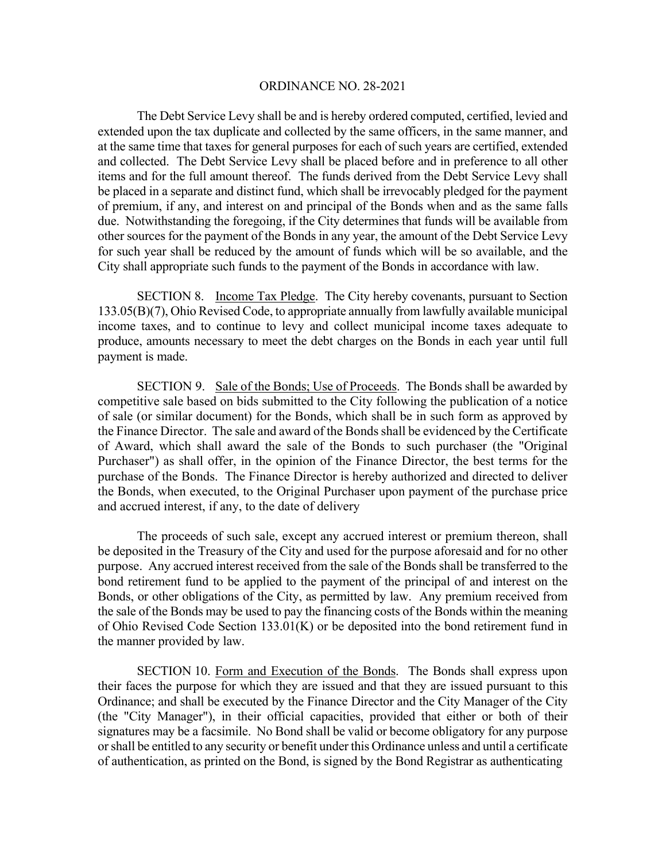The Debt Service Levy shall be and is hereby ordered computed, certified, levied and extended upon the tax duplicate and collected by the same officers, in the same manner, and at the same time that taxes for general purposes for each of such years are certified, extended and collected. The Debt Service Levy shall be placed before and in preference to all other items and for the full amount thereof. The funds derived from the Debt Service Levy shall be placed in a separate and distinct fund, which shall be irrevocably pledged for the payment of premium, if any, and interest on and principal of the Bonds when and as the same falls due. Notwithstanding the foregoing, if the City determines that funds will be available from other sources for the payment of the Bonds in any year, the amount of the Debt Service Levy for such year shall be reduced by the amount of funds which will be so available, and the City shall appropriate such funds to the payment of the Bonds in accordance with law.

 SECTION 8. Income Tax Pledge. The City hereby covenants, pursuant to Section 133.05(B)(7), Ohio Revised Code, to appropriate annually from lawfully available municipal income taxes, and to continue to levy and collect municipal income taxes adequate to produce, amounts necessary to meet the debt charges on the Bonds in each year until full payment is made.

 SECTION 9. Sale of the Bonds; Use of Proceeds. The Bonds shall be awarded by competitive sale based on bids submitted to the City following the publication of a notice of sale (or similar document) for the Bonds, which shall be in such form as approved by the Finance Director. The sale and award of the Bonds shall be evidenced by the Certificate of Award, which shall award the sale of the Bonds to such purchaser (the "Original Purchaser") as shall offer, in the opinion of the Finance Director, the best terms for the purchase of the Bonds. The Finance Director is hereby authorized and directed to deliver the Bonds, when executed, to the Original Purchaser upon payment of the purchase price and accrued interest, if any, to the date of delivery

The proceeds of such sale, except any accrued interest or premium thereon, shall be deposited in the Treasury of the City and used for the purpose aforesaid and for no other purpose. Any accrued interest received from the sale of the Bonds shall be transferred to the bond retirement fund to be applied to the payment of the principal of and interest on the Bonds, or other obligations of the City, as permitted by law. Any premium received from the sale of the Bonds may be used to pay the financing costs of the Bonds within the meaning of Ohio Revised Code Section 133.01(K) or be deposited into the bond retirement fund in the manner provided by law.

 SECTION 10. Form and Execution of the Bonds. The Bonds shall express upon their faces the purpose for which they are issued and that they are issued pursuant to this Ordinance; and shall be executed by the Finance Director and the City Manager of the City (the "City Manager"), in their official capacities, provided that either or both of their signatures may be a facsimile. No Bond shall be valid or become obligatory for any purpose or shall be entitled to any security or benefit under this Ordinance unless and until a certificate of authentication, as printed on the Bond, is signed by the Bond Registrar as authenticating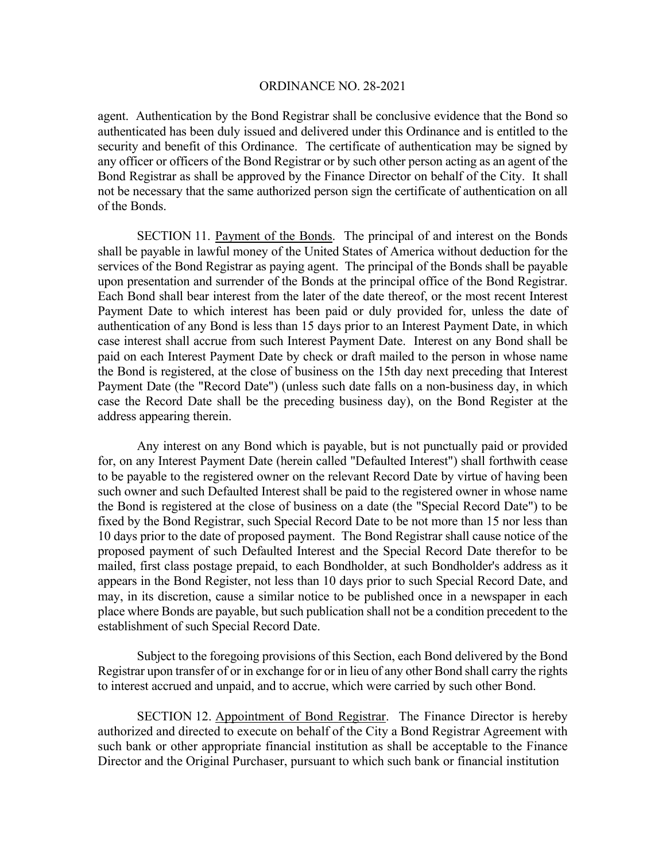agent. Authentication by the Bond Registrar shall be conclusive evidence that the Bond so authenticated has been duly issued and delivered under this Ordinance and is entitled to the security and benefit of this Ordinance. The certificate of authentication may be signed by any officer or officers of the Bond Registrar or by such other person acting as an agent of the Bond Registrar as shall be approved by the Finance Director on behalf of the City. It shall not be necessary that the same authorized person sign the certificate of authentication on all of the Bonds.

 SECTION 11. Payment of the Bonds. The principal of and interest on the Bonds shall be payable in lawful money of the United States of America without deduction for the services of the Bond Registrar as paying agent. The principal of the Bonds shall be payable upon presentation and surrender of the Bonds at the principal office of the Bond Registrar. Each Bond shall bear interest from the later of the date thereof, or the most recent Interest Payment Date to which interest has been paid or duly provided for, unless the date of authentication of any Bond is less than 15 days prior to an Interest Payment Date, in which case interest shall accrue from such Interest Payment Date. Interest on any Bond shall be paid on each Interest Payment Date by check or draft mailed to the person in whose name the Bond is registered, at the close of business on the 15th day next preceding that Interest Payment Date (the "Record Date") (unless such date falls on a non-business day, in which case the Record Date shall be the preceding business day), on the Bond Register at the address appearing therein.

 Any interest on any Bond which is payable, but is not punctually paid or provided for, on any Interest Payment Date (herein called "Defaulted Interest") shall forthwith cease to be payable to the registered owner on the relevant Record Date by virtue of having been such owner and such Defaulted Interest shall be paid to the registered owner in whose name the Bond is registered at the close of business on a date (the "Special Record Date") to be fixed by the Bond Registrar, such Special Record Date to be not more than 15 nor less than 10 days prior to the date of proposed payment. The Bond Registrar shall cause notice of the proposed payment of such Defaulted Interest and the Special Record Date therefor to be mailed, first class postage prepaid, to each Bondholder, at such Bondholder's address as it appears in the Bond Register, not less than 10 days prior to such Special Record Date, and may, in its discretion, cause a similar notice to be published once in a newspaper in each place where Bonds are payable, but such publication shall not be a condition precedent to the establishment of such Special Record Date.

 Subject to the foregoing provisions of this Section, each Bond delivered by the Bond Registrar upon transfer of or in exchange for or in lieu of any other Bond shall carry the rights to interest accrued and unpaid, and to accrue, which were carried by such other Bond.

SECTION 12. Appointment of Bond Registrar. The Finance Director is hereby authorized and directed to execute on behalf of the City a Bond Registrar Agreement with such bank or other appropriate financial institution as shall be acceptable to the Finance Director and the Original Purchaser, pursuant to which such bank or financial institution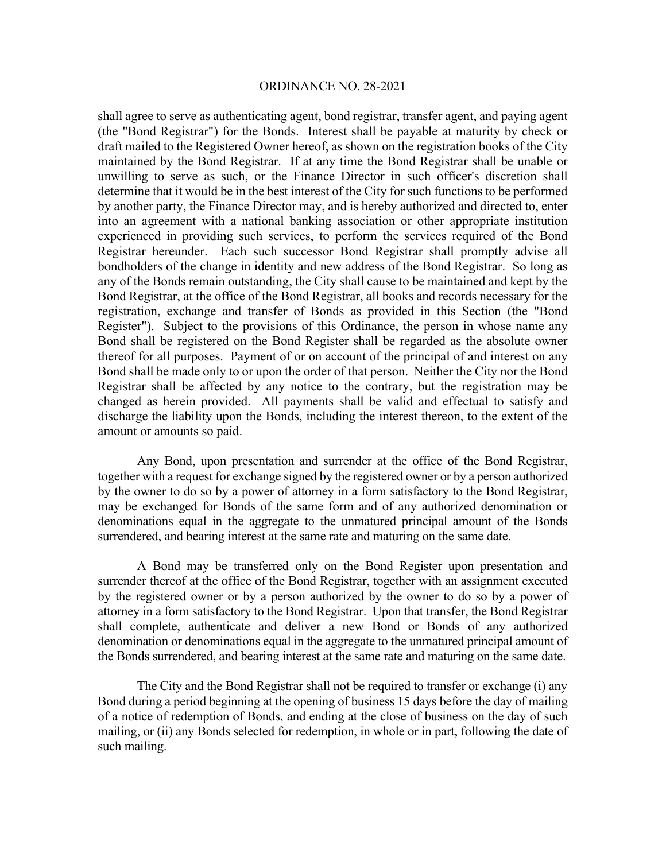shall agree to serve as authenticating agent, bond registrar, transfer agent, and paying agent (the "Bond Registrar") for the Bonds. Interest shall be payable at maturity by check or draft mailed to the Registered Owner hereof, as shown on the registration books of the City maintained by the Bond Registrar. If at any time the Bond Registrar shall be unable or unwilling to serve as such, or the Finance Director in such officer's discretion shall determine that it would be in the best interest of the City for such functions to be performed by another party, the Finance Director may, and is hereby authorized and directed to, enter into an agreement with a national banking association or other appropriate institution experienced in providing such services, to perform the services required of the Bond Registrar hereunder. Each such successor Bond Registrar shall promptly advise all bondholders of the change in identity and new address of the Bond Registrar. So long as any of the Bonds remain outstanding, the City shall cause to be maintained and kept by the Bond Registrar, at the office of the Bond Registrar, all books and records necessary for the registration, exchange and transfer of Bonds as provided in this Section (the "Bond Register"). Subject to the provisions of this Ordinance, the person in whose name any Bond shall be registered on the Bond Register shall be regarded as the absolute owner thereof for all purposes. Payment of or on account of the principal of and interest on any Bond shall be made only to or upon the order of that person. Neither the City nor the Bond Registrar shall be affected by any notice to the contrary, but the registration may be changed as herein provided. All payments shall be valid and effectual to satisfy and discharge the liability upon the Bonds, including the interest thereon, to the extent of the amount or amounts so paid.

 Any Bond, upon presentation and surrender at the office of the Bond Registrar, together with a request for exchange signed by the registered owner or by a person authorized by the owner to do so by a power of attorney in a form satisfactory to the Bond Registrar, may be exchanged for Bonds of the same form and of any authorized denomination or denominations equal in the aggregate to the unmatured principal amount of the Bonds surrendered, and bearing interest at the same rate and maturing on the same date.

 A Bond may be transferred only on the Bond Register upon presentation and surrender thereof at the office of the Bond Registrar, together with an assignment executed by the registered owner or by a person authorized by the owner to do so by a power of attorney in a form satisfactory to the Bond Registrar. Upon that transfer, the Bond Registrar shall complete, authenticate and deliver a new Bond or Bonds of any authorized denomination or denominations equal in the aggregate to the unmatured principal amount of the Bonds surrendered, and bearing interest at the same rate and maturing on the same date.

 The City and the Bond Registrar shall not be required to transfer or exchange (i) any Bond during a period beginning at the opening of business 15 days before the day of mailing of a notice of redemption of Bonds, and ending at the close of business on the day of such mailing, or (ii) any Bonds selected for redemption, in whole or in part, following the date of such mailing.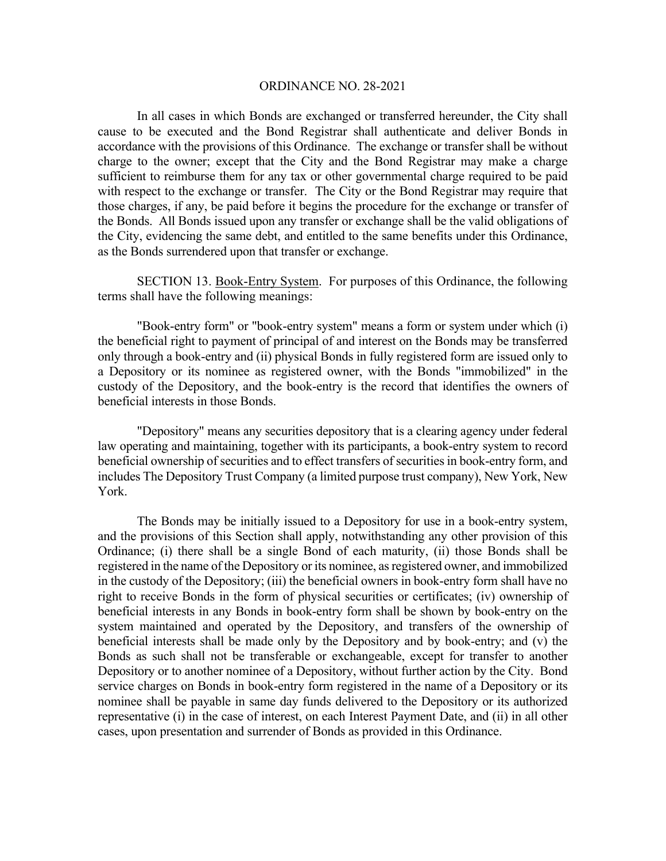In all cases in which Bonds are exchanged or transferred hereunder, the City shall cause to be executed and the Bond Registrar shall authenticate and deliver Bonds in accordance with the provisions of this Ordinance. The exchange or transfer shall be without charge to the owner; except that the City and the Bond Registrar may make a charge sufficient to reimburse them for any tax or other governmental charge required to be paid with respect to the exchange or transfer. The City or the Bond Registrar may require that those charges, if any, be paid before it begins the procedure for the exchange or transfer of the Bonds. All Bonds issued upon any transfer or exchange shall be the valid obligations of the City, evidencing the same debt, and entitled to the same benefits under this Ordinance, as the Bonds surrendered upon that transfer or exchange.

 SECTION 13. Book-Entry System. For purposes of this Ordinance, the following terms shall have the following meanings:

 "Book-entry form" or "book-entry system" means a form or system under which (i) the beneficial right to payment of principal of and interest on the Bonds may be transferred only through a book-entry and (ii) physical Bonds in fully registered form are issued only to a Depository or its nominee as registered owner, with the Bonds "immobilized" in the custody of the Depository, and the book-entry is the record that identifies the owners of beneficial interests in those Bonds.

 "Depository" means any securities depository that is a clearing agency under federal law operating and maintaining, together with its participants, a book-entry system to record beneficial ownership of securities and to effect transfers of securities in book-entry form, and includes The Depository Trust Company (a limited purpose trust company), New York, New York.

 The Bonds may be initially issued to a Depository for use in a book-entry system, and the provisions of this Section shall apply, notwithstanding any other provision of this Ordinance; (i) there shall be a single Bond of each maturity, (ii) those Bonds shall be registered in the name of the Depository or its nominee, as registered owner, and immobilized in the custody of the Depository; (iii) the beneficial owners in book-entry form shall have no right to receive Bonds in the form of physical securities or certificates; (iv) ownership of beneficial interests in any Bonds in book-entry form shall be shown by book-entry on the system maintained and operated by the Depository, and transfers of the ownership of beneficial interests shall be made only by the Depository and by book-entry; and (v) the Bonds as such shall not be transferable or exchangeable, except for transfer to another Depository or to another nominee of a Depository, without further action by the City. Bond service charges on Bonds in book-entry form registered in the name of a Depository or its nominee shall be payable in same day funds delivered to the Depository or its authorized representative (i) in the case of interest, on each Interest Payment Date, and (ii) in all other cases, upon presentation and surrender of Bonds as provided in this Ordinance.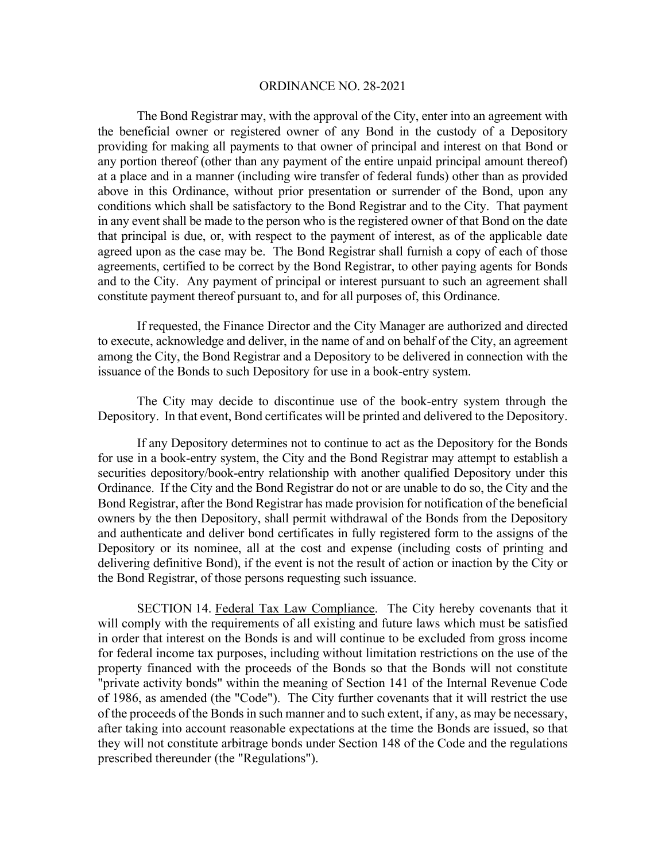The Bond Registrar may, with the approval of the City, enter into an agreement with the beneficial owner or registered owner of any Bond in the custody of a Depository providing for making all payments to that owner of principal and interest on that Bond or any portion thereof (other than any payment of the entire unpaid principal amount thereof) at a place and in a manner (including wire transfer of federal funds) other than as provided above in this Ordinance, without prior presentation or surrender of the Bond, upon any conditions which shall be satisfactory to the Bond Registrar and to the City. That payment in any event shall be made to the person who is the registered owner of that Bond on the date that principal is due, or, with respect to the payment of interest, as of the applicable date agreed upon as the case may be. The Bond Registrar shall furnish a copy of each of those agreements, certified to be correct by the Bond Registrar, to other paying agents for Bonds and to the City. Any payment of principal or interest pursuant to such an agreement shall constitute payment thereof pursuant to, and for all purposes of, this Ordinance.

 If requested, the Finance Director and the City Manager are authorized and directed to execute, acknowledge and deliver, in the name of and on behalf of the City, an agreement among the City, the Bond Registrar and a Depository to be delivered in connection with the issuance of the Bonds to such Depository for use in a book-entry system.

The City may decide to discontinue use of the book-entry system through the Depository. In that event, Bond certificates will be printed and delivered to the Depository.

 If any Depository determines not to continue to act as the Depository for the Bonds for use in a book-entry system, the City and the Bond Registrar may attempt to establish a securities depository/book-entry relationship with another qualified Depository under this Ordinance. If the City and the Bond Registrar do not or are unable to do so, the City and the Bond Registrar, after the Bond Registrar has made provision for notification of the beneficial owners by the then Depository, shall permit withdrawal of the Bonds from the Depository and authenticate and deliver bond certificates in fully registered form to the assigns of the Depository or its nominee, all at the cost and expense (including costs of printing and delivering definitive Bond), if the event is not the result of action or inaction by the City or the Bond Registrar, of those persons requesting such issuance.

 SECTION 14. Federal Tax Law Compliance. The City hereby covenants that it will comply with the requirements of all existing and future laws which must be satisfied in order that interest on the Bonds is and will continue to be excluded from gross income for federal income tax purposes, including without limitation restrictions on the use of the property financed with the proceeds of the Bonds so that the Bonds will not constitute "private activity bonds" within the meaning of Section 141 of the Internal Revenue Code of 1986, as amended (the "Code"). The City further covenants that it will restrict the use of the proceeds of the Bonds in such manner and to such extent, if any, as may be necessary, after taking into account reasonable expectations at the time the Bonds are issued, so that they will not constitute arbitrage bonds under Section 148 of the Code and the regulations prescribed thereunder (the "Regulations").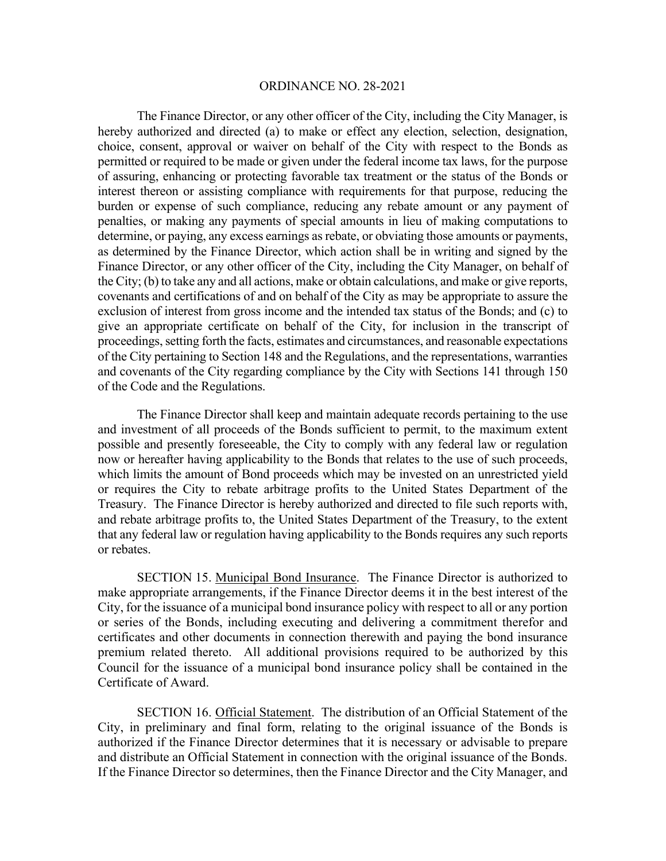The Finance Director, or any other officer of the City, including the City Manager, is hereby authorized and directed (a) to make or effect any election, selection, designation, choice, consent, approval or waiver on behalf of the City with respect to the Bonds as permitted or required to be made or given under the federal income tax laws, for the purpose of assuring, enhancing or protecting favorable tax treatment or the status of the Bonds or interest thereon or assisting compliance with requirements for that purpose, reducing the burden or expense of such compliance, reducing any rebate amount or any payment of penalties, or making any payments of special amounts in lieu of making computations to determine, or paying, any excess earnings as rebate, or obviating those amounts or payments, as determined by the Finance Director, which action shall be in writing and signed by the Finance Director, or any other officer of the City, including the City Manager, on behalf of the City; (b) to take any and all actions, make or obtain calculations, and make or give reports, covenants and certifications of and on behalf of the City as may be appropriate to assure the exclusion of interest from gross income and the intended tax status of the Bonds; and (c) to give an appropriate certificate on behalf of the City, for inclusion in the transcript of proceedings, setting forth the facts, estimates and circumstances, and reasonable expectations of the City pertaining to Section 148 and the Regulations, and the representations, warranties and covenants of the City regarding compliance by the City with Sections 141 through 150 of the Code and the Regulations.

The Finance Director shall keep and maintain adequate records pertaining to the use and investment of all proceeds of the Bonds sufficient to permit, to the maximum extent possible and presently foreseeable, the City to comply with any federal law or regulation now or hereafter having applicability to the Bonds that relates to the use of such proceeds, which limits the amount of Bond proceeds which may be invested on an unrestricted yield or requires the City to rebate arbitrage profits to the United States Department of the Treasury. The Finance Director is hereby authorized and directed to file such reports with, and rebate arbitrage profits to, the United States Department of the Treasury, to the extent that any federal law or regulation having applicability to the Bonds requires any such reports or rebates.

 SECTION 15. Municipal Bond Insurance. The Finance Director is authorized to make appropriate arrangements, if the Finance Director deems it in the best interest of the City, for the issuance of a municipal bond insurance policy with respect to all or any portion or series of the Bonds, including executing and delivering a commitment therefor and certificates and other documents in connection therewith and paying the bond insurance premium related thereto. All additional provisions required to be authorized by this Council for the issuance of a municipal bond insurance policy shall be contained in the Certificate of Award.

 SECTION 16. Official Statement. The distribution of an Official Statement of the City, in preliminary and final form, relating to the original issuance of the Bonds is authorized if the Finance Director determines that it is necessary or advisable to prepare and distribute an Official Statement in connection with the original issuance of the Bonds. If the Finance Director so determines, then the Finance Director and the City Manager, and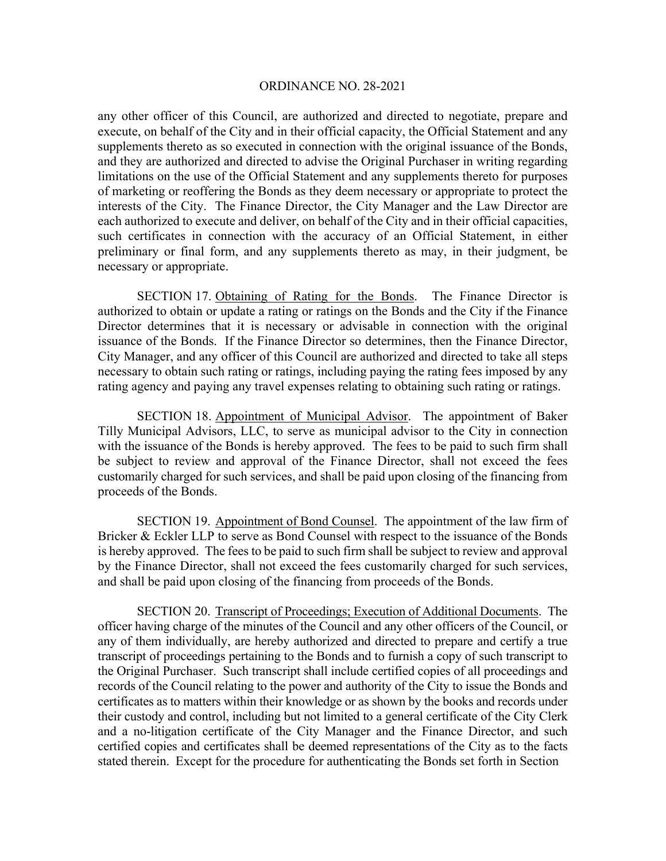any other officer of this Council, are authorized and directed to negotiate, prepare and execute, on behalf of the City and in their official capacity, the Official Statement and any supplements thereto as so executed in connection with the original issuance of the Bonds, and they are authorized and directed to advise the Original Purchaser in writing regarding limitations on the use of the Official Statement and any supplements thereto for purposes of marketing or reoffering the Bonds as they deem necessary or appropriate to protect the interests of the City. The Finance Director, the City Manager and the Law Director are each authorized to execute and deliver, on behalf of the City and in their official capacities, such certificates in connection with the accuracy of an Official Statement, in either preliminary or final form, and any supplements thereto as may, in their judgment, be necessary or appropriate.

SECTION 17. Obtaining of Rating for the Bonds. The Finance Director is authorized to obtain or update a rating or ratings on the Bonds and the City if the Finance Director determines that it is necessary or advisable in connection with the original issuance of the Bonds. If the Finance Director so determines, then the Finance Director, City Manager, and any officer of this Council are authorized and directed to take all steps necessary to obtain such rating or ratings, including paying the rating fees imposed by any rating agency and paying any travel expenses relating to obtaining such rating or ratings.

 SECTION 18. Appointment of Municipal Advisor. The appointment of Baker Tilly Municipal Advisors, LLC, to serve as municipal advisor to the City in connection with the issuance of the Bonds is hereby approved. The fees to be paid to such firm shall be subject to review and approval of the Finance Director, shall not exceed the fees customarily charged for such services, and shall be paid upon closing of the financing from proceeds of the Bonds.

 SECTION 19. Appointment of Bond Counsel. The appointment of the law firm of Bricker & Eckler LLP to serve as Bond Counsel with respect to the issuance of the Bonds is hereby approved. The fees to be paid to such firm shall be subject to review and approval by the Finance Director, shall not exceed the fees customarily charged for such services, and shall be paid upon closing of the financing from proceeds of the Bonds.

 SECTION 20. Transcript of Proceedings; Execution of Additional Documents. The officer having charge of the minutes of the Council and any other officers of the Council, or any of them individually, are hereby authorized and directed to prepare and certify a true transcript of proceedings pertaining to the Bonds and to furnish a copy of such transcript to the Original Purchaser. Such transcript shall include certified copies of all proceedings and records of the Council relating to the power and authority of the City to issue the Bonds and certificates as to matters within their knowledge or as shown by the books and records under their custody and control, including but not limited to a general certificate of the City Clerk and a no-litigation certificate of the City Manager and the Finance Director, and such certified copies and certificates shall be deemed representations of the City as to the facts stated therein. Except for the procedure for authenticating the Bonds set forth in Section